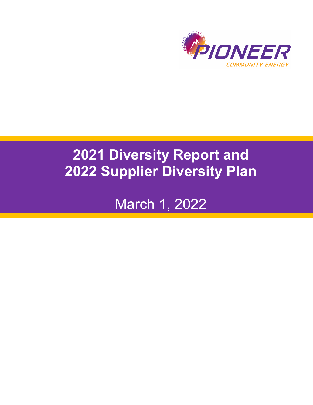

# **Diversity Report and Supplier Diversity Plan**

March 1, 2022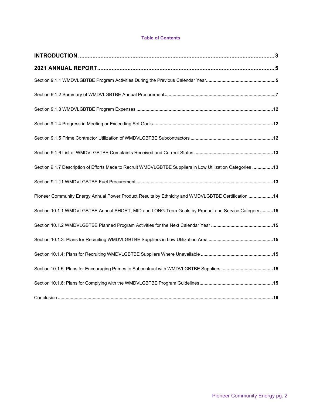#### **Table of Contents**

| Section 9.1.7 Description of Efforts Made to Recruit WMDVLGBTBE Suppliers in Low Utilization Categories 13 |  |
|------------------------------------------------------------------------------------------------------------|--|
|                                                                                                            |  |
| Pioneer Community Energy Annual Power Product Results by Ethnicity and WMDVLGBTBE Certification 14         |  |
| Section 10.1.1 WMDVLGBTBE Annual SHORT, MID and LONG-Term Goals by Product and Service Category 15         |  |
|                                                                                                            |  |
|                                                                                                            |  |
|                                                                                                            |  |
|                                                                                                            |  |
|                                                                                                            |  |
|                                                                                                            |  |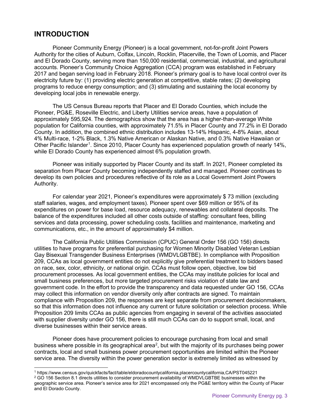## <span id="page-2-0"></span>**INTRODUCTION**

Pioneer Community Energy (Pioneer) is a local government, not-for-profit Joint Powers Authority for the cities of Auburn, Colfax, Lincoln, Rocklin, Placerville, the Town of Loomis, and Placer and El Dorado County, serving more than 150,000 residential, commercial, industrial, and agricultural accounts. Pioneer's Community Choice Aggregation (CCA) program was established in February 2017 and began serving load in February 2018. Pioneer's primary goal is to have local control over its electricity future by: (1) providing electric generation at competitive, stable rates; (2) developing programs to reduce energy consumption; and (3) stimulating and sustaining the local economy by developing local jobs in renewable energy.

The US Census Bureau reports that Placer and El Dorado Counties, which include the Pioneer, PG&E, Roseville Electric, and Liberty Utilities service areas, have a population of approximately 595,924. The demographics show that the area has a higher-than-average White population for California counties, with approximately 71.5% in Placer County and 77.2% in El Dorado County. In addition, the combined ethnic distribution includes 13-14% Hispanic, 4-8% Asian, about 4% Multi-race, 1-2% Black, 1.3% Native American or Alaskan Native, and 0.3% Native Hawaiian or Other Pacific Islander<sup>[1](#page-2-1)</sup>. Since 2010, Placer County has experienced population growth of nearly 14%, while El Dorado County has experienced almost 6% population growth.

Pioneer was initially supported by Placer County and its staff. In 2021, Pioneer completed its separation from Placer County becoming independently staffed and managed. Pioneer continues to develop its own policies and procedures reflective of its role as a Local Government Joint Powers Authority.

For calendar year 2021, Pioneer's expenditures were approximately \$ 73 million (excluding staff salaries, wages, and employment taxes). Pioneer spent over \$69 million or 95% of its expenditures on power for base load, resource adequacy, renewables and collateral deposits. The balance of the expenditures included all other costs outside of staffing: consultant fees, billing services and data processing, power scheduling costs, facilities and maintenance, marketing and communications, etc., in the amount of approximately \$4 million.

The California Public Utilities Commission (CPUC) General Order 156 (GO 156) directs utilities to have programs for preferential purchasing for Women Minority Disabled Veteran Lesbian Gay Bisexual Transgender Business Enterprises (WMDVLGBTBE). In compliance with Proposition 209, CCAs as local government entities do not explicitly give preferential treatment to bidders based on race, sex, color, ethnicity, or national origin. CCAs must follow open, objective, low bid procurement processes. As local government entities, the CCAs may institute policies for local and small business preferences, but more targeted procurement risks violation of state law and government code. In the effort to provide the transparency and data requested under GO 156, CCAs may collect this information on vendor diversity only after contracts are signed. To maintain compliance with Proposition 209, the responses are kept separate from procurement decisionmakers, so that this information does not influence any current or future solicitation or selection process. While Proposition 209 limits CCAs as public agencies from engaging in several of the activities associated with supplier diversity under GO 156, there is still much CCAs can do to support small, local, and diverse businesses within their service areas.

Pioneer does have procurement policies to encourage purchasing from local and small business where possible in its geographical area $^2$  $^2$ , but with the majority of its purchases being power contracts, local and small business power procurement opportunities are limited within the Pioneer service area. The diversity within the power generation sector is extremely limited as witnessed by

<span id="page-2-1"></span><sup>1</sup> https://www.census.gov/quickfacts/fact/table/eldoradocountycalifornia,placercountycalifornia,CA/PST045221

<span id="page-2-2"></span><sup>&</sup>lt;sup>2</sup> GO 156 Section 8.1 directs utilities to consider procurement availability of WMDVLGBTBE businesses within the geographic service area. Pioneer's service area for 2021 encompassed only the PG&E territory within the County of Placer and El Dorado County.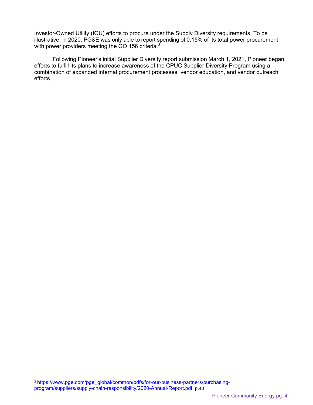Investor-Owned Utility (IOU) efforts to procure under the Supply Diversity requirements. To be illustrative, in 2020, PG&E was only able to report spending of 0.15% of its total power procurement with power providers meeting the GO 156 criteria.<sup>[3](#page-3-0)</sup>

Following Pioneer's initial Supplier Diversity report submission March 1, 2021, Pioneer began efforts to fulfill its plans to increase awareness of the CPUC Supplier Diversity Program using a combination of expanded internal procurement processes, vendor education, and vendor outreach efforts.

<span id="page-3-0"></span><sup>&</sup>lt;sup>3</sup> [https://www.pge.com/pge\\_global/common/pdfs/for-our-business-partners/purchasing](https://www.pge.com/pge_global/common/pdfs/for-our-business-partners/purchasing-program/suppliers/supply-chain-responsibility/2020-Annual-Report.pdf)[program/suppliers/supply-chain-responsibility/2020-Annual-Report.pdf](https://www.pge.com/pge_global/common/pdfs/for-our-business-partners/purchasing-program/suppliers/supply-chain-responsibility/2020-Annual-Report.pdf) p.40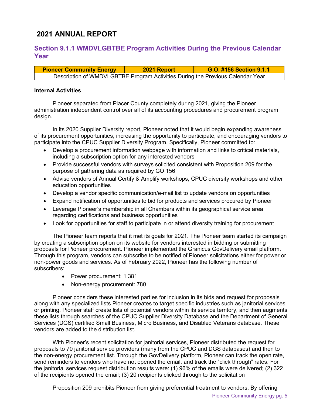## <span id="page-4-0"></span>**2021 ANNUAL REPORT**

## <span id="page-4-1"></span>**Section 9.1.1 WMDVLGBTBE Program Activities During the Previous Calendar Year**

| <b>Pioneer Community Energy</b>                                                | 2021 Report | G.O. #156 Section 9.1.1 |
|--------------------------------------------------------------------------------|-------------|-------------------------|
| Description of WMDVLGBTBE Program Activities During the Previous Calendar Year |             |                         |

#### **Internal Activities**

Pioneer separated from Placer County completely during 2021, giving the Pioneer administration independent control over all of its accounting procedures and procurement program design.

In its 2020 Supplier Diversity report, Pioneer noted that it would begin expanding awareness of its procurement opportunities, increasing the opportunity to participate, and encouraging vendors to participate into the CPUC Supplier Diversity Program. Specifically, Pioneer committed to:

- Develop a procurement information webpage with information and links to critical materials, including a subscription option for any interested vendors
- Provide successful vendors with surveys solicited consistent with Proposition 209 for the purpose of gathering data as required by GO 156
- Advise vendors of Annual Certify & Amplify workshops, CPUC diversity workshops and other education opportunities
- Develop a vendor specific communication/e-mail list to update vendors on opportunities
- Expand notification of opportunities to bid for products and services procured by Pioneer
- Leverage Pioneer's membership in all Chambers within its geographical service area regarding certifications and business opportunities
- Look for opportunities for staff to participate in or attend diversity training for procurement

The Pioneer team reports that it met its goals for 2021. The Pioneer team started its campaign by creating a subscription option on its website for vendors interested in bidding or submitting proposals for Pioneer procurement. Pioneer implemented the Granicus GovDelivery email platform. Through this program, vendors can subscribe to be notified of Pioneer solicitations either for power or non-power goods and services. As of February 2022, Pioneer has the following number of subscribers:

- Power procurement: 1,381
- Non-energy procurement: 780

Pioneer considers these interested parties for inclusion in its bids and request for proposals along with any specialized lists Pioneer creates to target specific industries such as janitorial services or printing. Pioneer staff create lists of potential vendors within its service territory, and then augments these lists through searches of the CPUC Supplier Diversity Database and the Department of General Services (DGS) certified Small Business, Micro Business, and Disabled Veterans database. These vendors are added to the distribution list.

With Pioneer's recent solicitation for janitorial services, Pioneer distributed the request for proposals to 70 janitorial service providers (many from the CPUC and DGS databases) and then to the non-energy procurement list. Through the GovDelivery platform, Pioneer can track the open rate, send reminders to vendors who have not opened the email, and track the "click through" rates. For the janitorial services request distribution results were: (1) 96% of the emails were delivered; (2) 322 of the recipients opened the email; (3) 20 recipients clicked through to the solicitation

Proposition 209 prohibits Pioneer from giving preferential treatment to vendors. By offering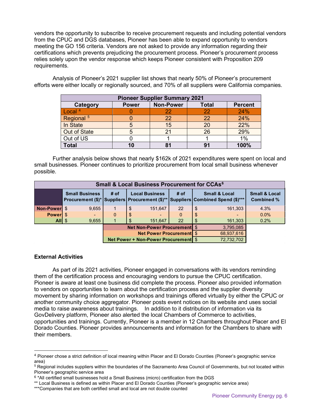vendors the opportunity to subscribe to receive procurement requests and including potential vendors from the CPUC and DGS databases, Pioneer has been able to expand opportunity to vendors meeting the GO 156 criteria. Vendors are not asked to provide any information regarding their certifications which prevents prejudicing the procurement process. Pioneer's procurement process relies solely upon the vendor response which keeps Pioneer consistent with Proposition 209 requirements.

Analysis of Pioneer's 2021 supplier list shows that nearly 50% of Pioneer's procurement efforts were either locally or regionally sourced, and 70% of all suppliers were California companies.

|                       | <b>Pioneer Supplier Summary 2021</b> |                  |                |                |  |  |  |  |  |  |  |  |  |
|-----------------------|--------------------------------------|------------------|----------------|----------------|--|--|--|--|--|--|--|--|--|
| Category              | <b>Power</b>                         | <b>Non-Power</b> | <b>Total</b>   | <b>Percent</b> |  |  |  |  |  |  |  |  |  |
| Local $4$             |                                      | 22               | 22             | 24%            |  |  |  |  |  |  |  |  |  |
| Regional <sup>5</sup> |                                      | 22               | 22             | 24%            |  |  |  |  |  |  |  |  |  |
| In State              |                                      | 15               | 20             | 22%            |  |  |  |  |  |  |  |  |  |
| Out of State          |                                      | 21               | 26             | 29%            |  |  |  |  |  |  |  |  |  |
| Out of US             |                                      |                  |                | 1%             |  |  |  |  |  |  |  |  |  |
| Total                 | 10                                   | 81               | 9 <sup>1</sup> | 100%           |  |  |  |  |  |  |  |  |  |

Further analysis below shows that nearly \$162k of 2021 expenditures were spent on local and small businesses. Pioneer continues to prioritize procurement from local small business whenever possible.

|              |                       |                                 | <b>Small &amp; Local Business Procurement for CCAs<sup>6</sup></b> |          |    |                                                                                                                     |                                        |
|--------------|-----------------------|---------------------------------|--------------------------------------------------------------------|----------|----|---------------------------------------------------------------------------------------------------------------------|----------------------------------------|
|              | <b>Small Business</b> | # of                            | <b>Local Business</b>                                              | # of     |    | <b>Small &amp; Local</b><br>Procurement (\$)*   Suppliers   Procurement (\$)**   Suppliers   Combined Spend (\$)*** | <b>Small &amp; Local</b><br>Combined % |
| Non-Power \$ | 9,655                 |                                 | \$<br>151,647                                                      | 22       | \$ | 161,303                                                                                                             | 4.3%                                   |
| Powerl \$    | $\sim$                | 0                               | \$                                                                 | $\Omega$ | \$ |                                                                                                                     | $0.0\%$                                |
| $All \$      | 9,655                 |                                 | 151.647                                                            | 22       | \$ | 161,303                                                                                                             | 0.2%                                   |
|              |                       |                                 | <b>Net Non-Power Procurement</b> \$                                |          |    | 3,795,085                                                                                                           |                                        |
|              |                       | <b>Net Power Procurement</b> \$ | 68,937,616                                                         |          |    |                                                                                                                     |                                        |
|              |                       |                                 | Net Power + Non-Power Procurement \$                               |          |    | 72,732,702                                                                                                          |                                        |

#### **External Activities**

As part of its 2021 activities, Pioneer engaged in conversations with its vendors reminding them of the certification process and encouraging vendors to pursue the CPUC certification. Pioneer is aware at least one business did complete the process. Pioneer also provided information to vendors on opportunities to learn about the certification process and the supplier diversity movement by sharing information on workshops and trainings offered virtually by either the CPUC or another community choice aggregator. Pioneer posts event notices on its website and uses social media to raise awareness about trainings. In addition to it distribution of information via its GovDelivery platform, Pioneer also alerted the local Chambers of Commerce to activities, opportunities and trainings. Currently, Pioneer is a member in 12 Chambers throughout Placer and El Dorado Counties. Pioneer provides announcements and information for the Chambers to share with their members.

<span id="page-5-0"></span><sup>4</sup> Pioneer chose a strict definition of local meaning within Placer and El Dorado Counties (Pioneer's geographic service area)

<span id="page-5-1"></span><sup>5</sup> Regional includes suppliers within the boundaries of the Sacramento Area Council of Governments, but not located within Pioneer's geographic service area

<span id="page-5-2"></span> $6$  \*All certified small businesses hold a Small Business (micro) certification from the DGS

<sup>\*\*</sup> Local Business is defined as within Placer and El Dorado Counties (Pioneer's geographic service area)

<sup>\*\*\*</sup>Companies that are both certified small and local are not double counted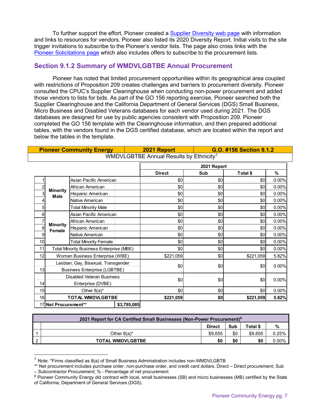To further support the effort, Pioneer created a [Supplier Diversity web page](https://pioneercommunityenergy.ca.gov/supplier-diversity/) with information and links to resources for vendors. Pioneer also listed its 2020 Diversity Report. Initial visits to the site trigger invitations to subscribe to the Pioneer's vendor lists. The page also cross links with the [Pioneer Solicitations page](https://pioneercommunityenergy.ca.gov/solicitations/) which also includes offers to subscribe to the procurement lists.

#### <span id="page-6-0"></span>**Section 9.1.2 Summary of WMDVLGBTBE Annual Procurement**

Pioneer has noted that limited procurement opportunities within its geographical area coupled with restrictions of Proposition 209 creates challenges and barriers to procurement diversity. Pioneer consulted the CPUC's Supplier Clearinghouse when conducting non-power procurement and added those vendors to lists for bids. As part of the GO 156 reporting exercise, Pioneer searched both the Supplier Clearinghouse and the California Department of General Services (DGS) Small Business, Micro Business and Disabled Veterans databases for each vendor used during 2021. The DGS databases are designed for use by public agencies consistent with Proposition 209. Pioneer completed the GO 156 template with the Clearinghouse information, and then prepared additional tables, with the vendors found in the DGS certified database, which are located within the report and below the tables in the template.

**Pioneer Community Energy 2021 Report G.O. #156 Section 9.1.2**

|    |                      |                                                                            |             | WMDVLGBTBE Annual Results by Ethnicity <sup>7</sup> |             |           |       |
|----|----------------------|----------------------------------------------------------------------------|-------------|-----------------------------------------------------|-------------|-----------|-------|
|    |                      |                                                                            |             |                                                     | 2021 Report |           |       |
|    |                      |                                                                            |             | <b>Direct</b>                                       | Sub         | Total \$  | ℅     |
|    |                      | Asian Pacific American                                                     |             | \$0                                                 | \$0         | \$0       | 0.00% |
| 2  | <b>Minority</b>      | African American                                                           |             | \$0                                                 | \$0         | \$0       | 0.00% |
| 3  | Male                 | Hispanic American                                                          |             | \$0                                                 | \$0         | \$0       | 0.00% |
| 4  |                      | Native American                                                            |             | \$0                                                 | \$0         | \$0       | 0.00% |
| 5  |                      | <b>Total Minority Male</b>                                                 |             | \$0                                                 | \$0         | \$0       | 0.00% |
| 6  |                      | Asian Pacific American                                                     |             | \$0                                                 | \$0         | \$0       | 0.00% |
|    | <b>Minority</b>      | African American                                                           |             | \$0                                                 | \$0         | \$0       | 0.00% |
| 8  | Female               | Hispanic American                                                          |             | \$0                                                 | \$0         | \$0       | 0.00% |
| 9  |                      | Native American                                                            |             | \$0                                                 | \$0         | \$0       | 0.00% |
| 10 |                      | <b>Total Minority Female</b>                                               |             | \$0                                                 | \$0         | \$0       | 0.00% |
| 11 |                      | <b>Total Minority Business Enterprise (MBE)</b>                            |             | \$0                                                 | \$0         | \$0       | 0.00% |
| 12 |                      | Women Business Enterprise (WBE)                                            |             | \$221,059                                           | \$0         | \$221,059 | 5.82% |
| 13 |                      | Lesbian, Gay, Bisexual, Transgender<br><b>Business Enterprise (LGBTBE)</b> |             | \$0                                                 | \$0         | \$0       | 0.00% |
| 14 |                      | <b>Disabled Veteran Business</b><br>Enterprise (DVBE)                      |             | \$0                                                 | \$0         | \$0       | 0.00% |
| 15 |                      | Other $8(a)^*$                                                             |             | \$0                                                 | \$0         | \$0       | 0.00% |
| 16 |                      | <b>TOTAL WMDVLGBTBE</b>                                                    |             | \$221,059                                           | \$0         | \$221,059 | 5.82% |
|    | 17 Net Procurement** |                                                                            | \$3,795,085 |                                                     |             |           |       |

|     | 2021 Report for CA Certified Small Businesses (Non-Power Procurement) <sup>8</sup> |               |     |          |          |
|-----|------------------------------------------------------------------------------------|---------------|-----|----------|----------|
|     |                                                                                    | <b>Direct</b> | Sub | Total \$ | %        |
|     | Other $8(a)^*$                                                                     | \$9.655       | \$0 | \$9.655  | $0.25\%$ |
| - 2 | <b>TOTAL WMDVLGBTBE</b>                                                            | \$0           | \$0 | \$0      | 0.00%    |

<span id="page-6-1"></span> $^7$  Note: \*Firms classified as 8(a) of Small Business Administration includes non-WMDVLGBTB

<sup>\*\*</sup> Net procurement includes purchase order, non-purchase order, and credit card dollars. Direct – Direct procurement; Sub – Subcontractor Procurement; % - Percentage of net procurement

<span id="page-6-2"></span><sup>&</sup>lt;sup>8</sup> Pioneer Community Energy did contract with local, small businesses (SB) and micro businesses (MB) certified by the State of California, Department of General Services (DGS).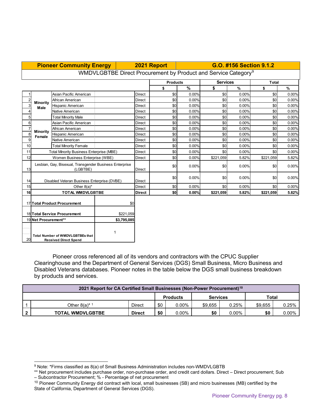|                 |                                     | <b>Pioneer Community Energy</b>                                         |     |           |               | 2021 Report                                                                |               |                 |       | G.O. #156 Section 9.1.2 |       |
|-----------------|-------------------------------------|-------------------------------------------------------------------------|-----|-----------|---------------|----------------------------------------------------------------------------|---------------|-----------------|-------|-------------------------|-------|
|                 |                                     |                                                                         |     |           |               | WMDVLGBTBE Direct Procurement by Product and Service Category <sup>9</sup> |               |                 |       |                         |       |
|                 |                                     |                                                                         |     |           |               | <b>Products</b>                                                            |               | <b>Services</b> |       | <b>Total</b>            |       |
|                 |                                     |                                                                         |     |           |               | \$                                                                         | $\frac{9}{6}$ | \$              | %     | \$                      | %     |
|                 |                                     | Asian Pacific American                                                  |     |           | <b>Direct</b> | \$0                                                                        | 0.00%         | \$0             | 0.00% | \$0                     | 0.00% |
|                 | <b>Minority</b>                     | African American                                                        |     |           | <b>Direct</b> | \$0                                                                        | 0.00%         | \$0             | 0.00% | \$0                     | 0.00% |
| 3               | <b>Male</b>                         | <b>Hispanic American</b>                                                |     |           | <b>Direct</b> | \$0                                                                        | 0.00%         | \$0             | 0.00% | \$0                     | 0.00% |
| 4               |                                     | Native American                                                         |     |           | <b>Direct</b> | \$0                                                                        | 0.00%         | \$0             | 0.00% | \$0                     | 0.00% |
| 5 <sup>1</sup>  |                                     | <b>Total Minority Male</b>                                              |     |           | Direct        | \$0                                                                        | 0.00%         | \$0             | 0.00% | \$0                     | 0.00% |
| $6 \overline{}$ |                                     | Asian Pacific American                                                  |     |           | <b>Direct</b> | \$0                                                                        | 0.00%         | \$0             | 0.00% | \$0                     | 0.00% |
| $\overline{7}$  |                                     | African American                                                        |     |           | Direct        | \$0                                                                        | 0.00%         | \$0             | 0.00% | \$0                     | 0.00% |
| 8               | <b>Minority</b><br>Female           | Hispanic American                                                       |     |           | <b>Direct</b> | \$0                                                                        | 0.00%         | \$0             | 0.00% | \$0                     | 0.00% |
| 9               |                                     | Native American                                                         |     |           | <b>Direct</b> | \$0                                                                        | 0.00%         | \$0             | 0.00% | \$0                     | 0.00% |
| 10 <sup>1</sup> |                                     | <b>Total Minority Female</b>                                            |     |           | Direct        | \$0                                                                        | 0.00%         | \$0             | 0.00% | \$0                     | 0.00% |
| 11              |                                     | <b>Total Minority Business Enterprise (MBE)</b>                         |     |           | <b>Direct</b> | \$0                                                                        | 0.00%         | \$0             | 0.00% | \$0                     | 0.00% |
| 12              |                                     | Women Business Enterprise (WBE)                                         |     |           | <b>Direct</b> | \$0                                                                        | 0.00%         | \$221,059       | 5.82% | \$221,059               | 5.82% |
| 13              |                                     | Lesbian, Gay, Bisexual, Transgender Business Enterprise<br>(LGBTBE)     |     |           | <b>Direct</b> | \$0                                                                        | 0.00%         | \$0             | 0.00% | \$0                     | 0.00% |
| 14              |                                     | Disabled Veteran Business Enterprise (DVBE)                             |     |           | <b>Direct</b> | \$0                                                                        | 0.00%         | \$0             | 0.00% | \$0                     | 0.00% |
| 15              |                                     | Other $8(a)^*$                                                          |     |           | <b>Direct</b> | \$0                                                                        | 0.00%         | \$0             | 0.00% | \$0                     | 0.00% |
| 16              |                                     | <b>TOTAL WMDVLGBTBE</b>                                                 |     |           | <b>Direct</b> | \$0                                                                        | 0.00%         | \$221,059       | 5.82% | \$221,059               | 5.82% |
|                 |                                     | 17 Total Product Procurement                                            | \$0 |           |               |                                                                            |               |                 |       |                         |       |
|                 |                                     | 18 Total Service Procurement                                            |     | \$221,059 |               |                                                                            |               |                 |       |                         |       |
|                 | 19 Net Procurement**<br>\$3,795,085 |                                                                         |     |           |               |                                                                            |               |                 |       |                         |       |
| 20              |                                     | <b>Total Number of WMDVLGBTBEs that</b><br><b>Received Direct Spend</b> |     |           |               |                                                                            |               |                 |       |                         |       |

Pioneer cross referenced all of its vendors and contractors with the CPUC Supplier Clearinghouse and the Department of General Services (DGS) Small Business, Micro Business and Disabled Veterans databases. Pioneer notes in the table below the DGS small business breakdown by products and services.

| 2021 Report for CA Certified Small Businesses (Non-Power Procurement) <sup>10</sup> |               |     |          |         |       |         |       |  |  |  |  |  |  |
|-------------------------------------------------------------------------------------|---------------|-----|----------|---------|-------|---------|-------|--|--|--|--|--|--|
| Total<br><b>Services</b><br><b>Products</b>                                         |               |     |          |         |       |         |       |  |  |  |  |  |  |
| Other $8(a)^*$ <sup>1</sup>                                                         | Direct        | \$0 | $0.00\%$ | \$9.655 | 0.25% | \$9.655 | 0.25% |  |  |  |  |  |  |
| <b>TOTAL WMDVLGBTBE</b>                                                             | <b>Direct</b> | \$0 | $0.00\%$ | \$0     | 0.00% | \$0     | 0.00% |  |  |  |  |  |  |

<span id="page-7-1"></span><sup>9</sup> Note: \*Firms classified as 8(a) of Small Business Administration includes non-WMDVLGBTB

<sup>\*\*</sup> Net procurement includes purchase order, non-purchase order, and credit card dollars. Direct – Direct procurement; Sub – Subcontractor Procurement; % - Percentage of net procurement

<span id="page-7-0"></span><sup>&</sup>lt;sup>10</sup> Pioneer Community Energy did contract with local, small businesses (SB) and micro businesses (MB) certified by the State of California, Department of General Services (DGS).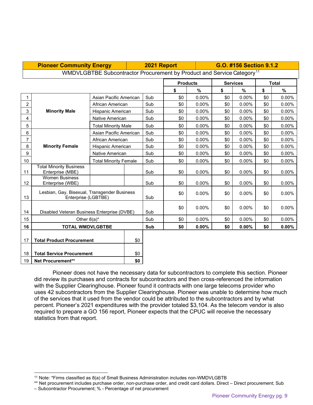|                | <b>Pioneer Community Energy</b>                                     |                              |     | 2021 Report | G.O. #156 Section 9.1.2<br>WMDVLGBTBE Subcontractor Procurement by Product and Service Category <sup>11</sup> |                 |                 |       |     |              |  |  |
|----------------|---------------------------------------------------------------------|------------------------------|-----|-------------|---------------------------------------------------------------------------------------------------------------|-----------------|-----------------|-------|-----|--------------|--|--|
|                |                                                                     |                              |     |             |                                                                                                               |                 |                 |       |     |              |  |  |
|                |                                                                     |                              |     |             |                                                                                                               | <b>Products</b> | <b>Services</b> |       |     | <b>Total</b> |  |  |
|                |                                                                     |                              |     |             | \$                                                                                                            | %               | \$              | %     | \$  | $\%$         |  |  |
| 1              |                                                                     | Asian Pacific American       |     | Sub         | \$0                                                                                                           | 0.00%           | \$0             | 0.00% | \$0 | 0.00%        |  |  |
| $\overline{c}$ |                                                                     | African American             |     | Sub         | \$0                                                                                                           | 0.00%           | \$0             | 0.00% | \$0 | 0.00%        |  |  |
| 3              | <b>Minority Male</b>                                                | Hispanic American            |     | Sub         | \$0                                                                                                           | 0.00%           | \$0             | 0.00% | \$0 | 0.00%        |  |  |
| 4              |                                                                     | Native American              |     | Sub         | \$0                                                                                                           | 0.00%           | \$0             | 0.00% | \$0 | 0.00%        |  |  |
| 5              |                                                                     | <b>Total Minority Male</b>   |     | Sub         | \$0                                                                                                           | 0.00%           | \$0             | 0.00% | \$0 | 0.00%        |  |  |
| 6              |                                                                     | Asian Pacific American       |     | Sub         | \$0                                                                                                           | 0.00%           | \$0             | 0.00% | \$0 | 0.00%        |  |  |
| 7              |                                                                     | African American             |     | Sub         | \$0                                                                                                           | 0.00%           | \$0             | 0.00% | \$0 | 0.00%        |  |  |
| 8              | <b>Minority Female</b>                                              | Hispanic American            |     | Sub         | \$0                                                                                                           | 0.00%           | \$0             | 0.00% | \$0 | 0.00%        |  |  |
| 9              |                                                                     | Native American              |     | Sub         | \$0                                                                                                           | 0.00%           | \$0             | 0.00% | \$0 | 0.00%        |  |  |
| 10             |                                                                     | <b>Total Minority Female</b> |     | Sub         | \$0                                                                                                           | 0.00%           | \$0             | 0.00% | \$0 | 0.00%        |  |  |
| 11             | <b>Total Minority Business</b><br>Enterprise (MBE)                  |                              |     | Sub         | \$0                                                                                                           | $0.00\%$        | \$0             | 0.00% | \$0 | 0.00%        |  |  |
| 12             | <b>Women Business</b><br>Enterprise (WBE)                           |                              |     | Sub         | \$0                                                                                                           | 0.00%           | \$0             | 0.00% | \$0 | 0.00%        |  |  |
| 13             | Lesbian, Gay, Bisexual, Transgender Business<br>Enterprise (LGBTBE) |                              |     | Sub         | \$0                                                                                                           | 0.00%           | \$0             | 0.00% | \$0 | 0.00%        |  |  |
| 14             | Disabled Veteran Business Enterprise (DVBE)                         |                              |     | Sub         | \$0                                                                                                           | 0.00%           | \$0             | 0.00% | \$0 | 0.00%        |  |  |
| 15             | Other $8(a)^*$                                                      |                              |     | Sub         | \$0                                                                                                           | 0.00%           | \$0             | 0.00% | \$0 | 0.00%        |  |  |
| 16             | <b>TOTAL WMDVLGBTBE</b>                                             |                              |     | Sub         | \$0                                                                                                           | 0.00%           | \$0             | 0.00% | \$0 | $0.00\%$     |  |  |
| 17             | <b>Total Product Procurement</b>                                    |                              | \$0 |             |                                                                                                               |                 |                 |       |     |              |  |  |
| 18             | <b>Total Service Procurement</b>                                    |                              |     |             |                                                                                                               |                 |                 |       |     |              |  |  |
| 19             | <b>Net Procurement**</b>                                            |                              |     |             |                                                                                                               |                 |                 |       |     |              |  |  |

Pioneer does not have the necessary data for subcontractors to complete this section. Pioneer did review its purchases and contracts for subcontractors and then cross-referenced the information with the Supplier Clearinghouse. Pioneer found it contracts with one large telecoms provider who uses 42 subcontractors from the Supplier Clearinghouse. Pioneer was unable to determine how much of the services that it used from the vendor could be attributed to the subcontractors and by what percent. Pioneer's 2021 expenditures with the provider totaled \$3,104. As the telecom vendor is also required to prepare a GO 156 report, Pioneer expects that the CPUC will receive the necessary statistics from that report.

<span id="page-8-0"></span><sup>&</sup>lt;sup>11</sup> Note: \*Firms classified as 8(a) of Small Business Administration includes non-WMDVLGBTB

<sup>\*\*</sup> Net procurement includes purchase order, non-purchase order, and credit card dollars. Direct – Direct procurement; Sub

<sup>–</sup> Subcontractor Procurement; % - Percentage of net procurement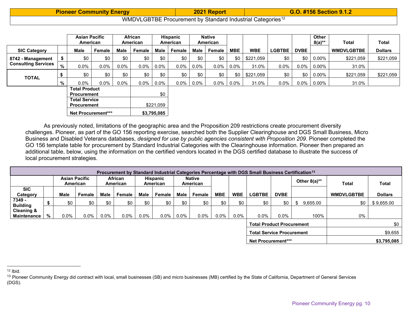<span id="page-9-1"></span><span id="page-9-0"></span>

| <b>Pioneer Community Energy</b> | 2021 Report                                                            | <b>G.O. #156 Section 9.1.2</b> |  |  |  |  |  |
|---------------------------------|------------------------------------------------------------------------|--------------------------------|--|--|--|--|--|
|                                 | WMDVLGBTBE Procurement by Standard Industrial Categories <sup>12</sup> |                                |  |  |  |  |  |

|                            |                                            | <b>Asian Pacific</b><br>American           |         |         | <b>African</b><br>American |             | Hispanic<br>American |              | <b>Native</b><br>American |            |            |               |             | <b>Other</b><br>$8(a)**$ | Total             | Total          |
|----------------------------|--------------------------------------------|--------------------------------------------|---------|---------|----------------------------|-------------|----------------------|--------------|---------------------------|------------|------------|---------------|-------------|--------------------------|-------------------|----------------|
| <b>SIC Category</b>        |                                            | <b>Male</b>                                | Female  | Male    | Female                     | Male        | Female               | Male         | Female                    | <b>MBE</b> | <b>WBE</b> | <b>LGBTBE</b> | <b>DVBE</b> |                          | <b>WMDVLGBTBE</b> | <b>Dollars</b> |
| 8742 - Management          |                                            | \$0                                        | \$0     | \$0     | \$0                        | \$0         | \$0                  | \$0          | \$0                       | \$0        | \$221.059  | \$0           | \$0         | $0.00\%$                 | \$221.059         | \$221,059      |
| <b>Consulting Services</b> | ℅                                          | $0.0\%$                                    | $0.0\%$ | $0.0\%$ | $0.0\%$                    | $0.0\%$     | $0.0\%$              | $0.0\%$      | $0.0\%$                   | $0.0\%$    | 31.0%      | $0.0\%$       | $0.0\%$     | $0.00\%$                 | 31.0%             |                |
|                            |                                            | \$0                                        | \$0     | \$0     | \$0                        | \$0         | \$0                  | \$0          | \$0                       | \$0        | \$221,059  | \$0           | \$0         | $0.00\%$                 | \$221,059         | \$221,059      |
| <b>TOTAL</b>               | %                                          | $0.0\%$                                    | $0.0\%$ | $0.0\%$ | $0.0\%$                    | $0.0\%$     |                      | $0.0\%$ 0.0% | $0.0\%$                   | $0.0\%$    | 31.0%      | $0.0\%$       |             | $0.0\%$ 0.00%            | 31.0%             |                |
|                            | <b>Total Product</b><br><b>Procurement</b> |                                            |         |         | \$0                        |             |                      |              |                           |            |            |               |             |                          |                   |                |
|                            |                                            | <b>Total Service</b><br><b>Procurement</b> |         |         |                            | \$221.059   |                      |              |                           |            |            |               |             |                          |                   |                |
|                            |                                            | <b>Net Procurement***</b>                  |         |         |                            | \$3,795,085 |                      |              |                           |            |            |               |             |                          |                   |                |

As previously noted, limitations of the geographic area and the Proposition 209 restrictions create procurement diversity challenges. Pioneer, as part of the GO 156 reporting exercise, searched both the Supplier Clearinghouse and DGS Small Business, Micro Business and Disabled Veterans databases, *designed for use by public agencies consistent with Proposition 209*. Pioneer completed the GO 156 template table for procurement by Standard Industrial Categories with the Clearinghouse information. Pioneer then prepared an additional table, below, using the information on the certified vendors located in the DGS certified database to illustrate the success of local procurement strategies.

|                                             |   |         |                                  |         |                                                    |         |                           |                                                    |                    |            |            | Procurement by Standard Industrial Categories Percentage with DGS Small Business Certification <sup>13</sup> |             |             |      |                   |                |              |
|---------------------------------------------|---|---------|----------------------------------|---------|----------------------------------------------------|---------|---------------------------|----------------------------------------------------|--------------------|------------|------------|--------------------------------------------------------------------------------------------------------------|-------------|-------------|------|-------------------|----------------|--------------|
|                                             |   |         | <b>Asian Pacific</b><br>American |         | <b>African</b><br>Hispanic<br>American<br>American |         | <b>Native</b><br>American |                                                    |                    |            |            |                                                                                                              |             |             |      | Other $8(a)$ **   | <b>Total</b>   | <b>Total</b> |
| <b>SIC</b><br>Category                      |   | Male    | <b>Female</b>                    | Male    | Female                                             | Male    | Female                    | Male                                               | Female             | <b>MBE</b> | <b>WBE</b> | <b>LGBTBE</b>                                                                                                | <b>DVBE</b> |             |      | <b>WMDVLGBTBE</b> | <b>Dollars</b> |              |
| 7349 -<br><b>Building</b>                   |   | \$0     | \$0                              | \$0     | \$0                                                | \$0     | \$0                       | \$0<br>\$0<br>\$0<br>\$0<br>\$0<br>\$0<br>9,655.00 |                    |            |            |                                                                                                              | \$0         | \$9,655.00  |      |                   |                |              |
| <b>Cleaning &amp;</b><br><b>Maintenance</b> | % | $0.0\%$ | $0.0\%$                          | $0.0\%$ | $0.0\%$                                            | $0.0\%$ | $0.0\%$                   | $0.0\%$                                            | $0.0\%$            | $0.0\%$    | $0.0\%$    | $0.0\%$                                                                                                      | $0.0\%$     |             | 100% | 0%                |                |              |
|                                             |   |         |                                  |         |                                                    |         |                           |                                                    |                    |            |            | <b>Total Product Procurement</b>                                                                             |             |             |      |                   | \$0            |              |
|                                             |   |         |                                  |         |                                                    |         |                           |                                                    |                    |            |            | <b>Total Service Procurement</b>                                                                             |             |             |      |                   | \$9,655        |              |
|                                             |   |         |                                  |         |                                                    |         |                           |                                                    | Net Procurement*** |            |            |                                                                                                              |             | \$3,795,085 |      |                   |                |              |

<sup>13</sup> Pioneer Community Energy did contract with local, small businesses (SB) and micro businesses (MB) certified by the State of California, Department of General Services (DGS).

 $12$  Ibid.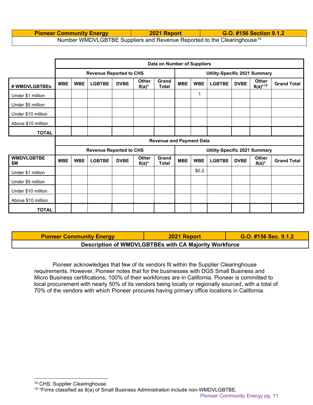#### **Pioneer Community Energy 2021 Report G.O. #156 Section 9.1.2** Number WMDVLGBTBE Suppliers and Revenue Reported to the Clearinghouse<sup>[14](#page-10-0)</sup>

|                          |                                                                                                               |            |                                |             |                          | Data on Number of Suppliers |                               |            |                               |             |                              |                    |  |  |
|--------------------------|---------------------------------------------------------------------------------------------------------------|------------|--------------------------------|-------------|--------------------------|-----------------------------|-------------------------------|------------|-------------------------------|-------------|------------------------------|--------------------|--|--|
|                          |                                                                                                               |            | <b>Revenue Reported to CHS</b> |             |                          |                             | Utility-Specific 2021 Summary |            |                               |             |                              |                    |  |  |
| # WMDVLGBTBEs            | <b>MBE</b>                                                                                                    | <b>WBE</b> | <b>LGBTBE</b>                  | <b>DVBE</b> | <b>Other</b><br>$8(a)^*$ | Grand<br><b>Total</b>       | <b>MBE</b>                    | <b>WBE</b> | <b>LGBTBE</b>                 | <b>DVBE</b> | <b>Other</b><br>$8(a)^{*15}$ | <b>Grand Total</b> |  |  |
| Under \$1 million        |                                                                                                               |            |                                |             |                          |                             |                               | 1          |                               |             |                              |                    |  |  |
| Under \$5 million        |                                                                                                               |            |                                |             |                          |                             |                               |            |                               |             |                              |                    |  |  |
| Under \$10 million       |                                                                                                               |            |                                |             |                          |                             |                               |            |                               |             |                              |                    |  |  |
| Above \$10 million       |                                                                                                               |            |                                |             |                          |                             |                               |            |                               |             |                              |                    |  |  |
| <b>TOTAL</b>             |                                                                                                               |            |                                |             |                          |                             |                               |            |                               |             |                              |                    |  |  |
|                          | <b>Revenue and Payment Data</b>                                                                               |            |                                |             |                          |                             |                               |            |                               |             |                              |                    |  |  |
|                          |                                                                                                               |            | <b>Revenue Reported to CHS</b> |             |                          |                             |                               |            | Utility-Specific 2021 Summary |             |                              |                    |  |  |
| <b>WMDVLGBTBE</b><br>\$Μ | Grand<br><b>Other</b><br><b>MBE</b><br><b>WBE</b><br><b>LGBTBE</b><br><b>DVBE</b><br><b>Total</b><br>$8(a)^*$ |            |                                |             |                          |                             |                               | <b>WBE</b> | <b>LGBTBE</b>                 | <b>DVBE</b> | Other<br>$8(a)^*$            | <b>Grand Total</b> |  |  |
| Under \$1 million        |                                                                                                               |            |                                |             |                          |                             |                               | \$0.2\$    |                               |             |                              |                    |  |  |
| Under \$5 million        |                                                                                                               |            |                                |             |                          |                             |                               |            |                               |             |                              |                    |  |  |
| Under \$10 million       |                                                                                                               |            |                                |             |                          |                             |                               |            |                               |             |                              |                    |  |  |
| Above \$10 million       |                                                                                                               |            |                                |             |                          |                             |                               |            |                               |             |                              |                    |  |  |
| <b>TOTAL</b>             |                                                                                                               |            |                                |             |                          |                             |                               |            |                               |             |                              |                    |  |  |

**Pioneer Community Energy 2021 Report G.O. #156 Sec. 9.1.2 Description of WMDVLGBTBEs with CA Majority Workforce**

Pioneer acknowledges that few of its vendors fit within the Supplier Clearinghouse requirements. However, Pioneer notes that for the businesses with DGS Small Business and Micro Business certifications, 100% of their workforces are in California. Pioneer is committed to local procurement with nearly 50% of its vendors being locally or regionally sourced, with a total of 70% of the vendors with which Pioneer procures having primary office locations in California.

<span id="page-10-1"></span><span id="page-10-0"></span><sup>14</sup> CHS: Supplier Clearinghouse.

 $15$  \*Firms classified as  $8(a)$  of Small Business Administration include non-WMDVLGBTBE.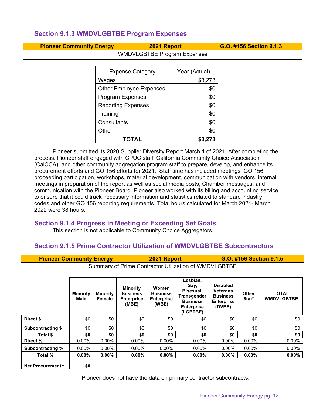## <span id="page-11-0"></span>**Section 9.1.3 WMDVLGBTBE Program Expenses**

| <b>Pioneer Community Energy</b> | 2021 Report | G.O. #156 Section 9.1.3 |
|---------------------------------|-------------|-------------------------|
| WILLOW COTOF Dreaman Expanses   |             |                         |

| <b>Expense Category</b>        | Year (Actual) |  |  |  |  |  |
|--------------------------------|---------------|--|--|--|--|--|
| Wages                          | \$3,273       |  |  |  |  |  |
| <b>Other Employee Expenses</b> | \$0           |  |  |  |  |  |
| <b>Program Expenses</b>        | \$0           |  |  |  |  |  |
| <b>Reporting Expenses</b>      | \$0           |  |  |  |  |  |
| Training                       | \$0           |  |  |  |  |  |
| Consultants                    | \$0           |  |  |  |  |  |
| Other                          | \$0           |  |  |  |  |  |
| TOTAL                          | \$3.273       |  |  |  |  |  |

WMDVLGBTBE Program Expenses

Pioneer submitted its 2020 Supplier Diversity Report March 1 of 2021. After completing the process. Pioneer staff engaged with CPUC staff, California Community Choice Association (CalCCA), and other community aggregation program staff to prepare, develop, and enhance its procurement efforts and GO 156 efforts for 2021. Staff time has included meetings, GO 156 proceeding participation, workshops, material development, communication with vendors, internal meetings in preparation of the report as well as social media posts, Chamber messages, and communication with the Pioneer Board. Pioneer also worked with its billing and accounting service to ensure that it could track necessary information and statistics related to standard industry codes and other GO 156 reporting requirements. Total hours calculated for March 2021- March 2022 were 38 hours.

## <span id="page-11-1"></span>**Section 9.1.4 Progress in Meeting or Exceeding Set Goals**

This section is not applicable to Community Choice Aggregators.

## <span id="page-11-2"></span>**Section 9.1.5 Prime Contractor Utilization of WMDVLGBTBE Subcontractors**

| <b>Pioneer Community Energy</b> |                                                       |                           |                                                                  | 2021 Report                                            |                                                                                                  | G.O. #156 Section 9.1.5                                                              |                          |                                   |  |  |  |  |  |  |  |
|---------------------------------|-------------------------------------------------------|---------------------------|------------------------------------------------------------------|--------------------------------------------------------|--------------------------------------------------------------------------------------------------|--------------------------------------------------------------------------------------|--------------------------|-----------------------------------|--|--|--|--|--|--|--|
|                                 | Summary of Prime Contractor Utilization of WMDVLGBTBE |                           |                                                                  |                                                        |                                                                                                  |                                                                                      |                          |                                   |  |  |  |  |  |  |  |
|                                 |                                                       |                           |                                                                  |                                                        |                                                                                                  |                                                                                      |                          |                                   |  |  |  |  |  |  |  |
|                                 | <b>Minority</b><br>Male                               | <b>Minority</b><br>Female | <b>Minority</b><br><b>Business</b><br><b>Enterprise</b><br>(MBE) | Women<br><b>Business</b><br><b>Enterprise</b><br>(WBE) | Lesbian,<br>Gay,<br>Bisexual,<br>Transgender<br><b>Business</b><br><b>Enterprise</b><br>(LGBTBE) | <b>Disabled</b><br><b>Veterans</b><br><b>Business</b><br><b>Enterprise</b><br>(DVBE) | <b>Other</b><br>$8(a)^*$ | <b>TOTAL</b><br><b>WMDVLGBTBE</b> |  |  |  |  |  |  |  |
| Direct \$                       | \$0                                                   | \$0                       | \$0                                                              | \$0                                                    | \$0                                                                                              | \$0                                                                                  | \$0                      | \$0                               |  |  |  |  |  |  |  |
| Subcontracting \$               | \$0                                                   | \$0                       | \$0                                                              | \$0                                                    | \$0                                                                                              | \$0                                                                                  | \$0                      | \$0                               |  |  |  |  |  |  |  |
| Total \$                        | \$0                                                   | \$0                       | \$0                                                              | \$0                                                    | \$0                                                                                              | \$0                                                                                  | \$0                      | \$0                               |  |  |  |  |  |  |  |
| Direct %                        | $0.00\%$                                              | $0.00\%$                  | 0.00%                                                            | $0.00\%$                                               | $0.00\%$                                                                                         | $0.00\%$                                                                             | $0.00\%$                 | 0.00%                             |  |  |  |  |  |  |  |
| <b>Subcontracting %</b>         | $0.00\%$                                              | $0.00\%$                  | $0.00\%$                                                         | $0.00\%$                                               | $0.00\%$                                                                                         | $0.00\%$                                                                             | $0.00\%$                 | 0.00%                             |  |  |  |  |  |  |  |
| Total %                         | $0.00\%$                                              | $0.00\%$                  | $0.00\%$                                                         | $0.00\%$                                               | $0.00\%$                                                                                         | $0.00\%$                                                                             | $0.00\%$                 | $0.00\%$                          |  |  |  |  |  |  |  |
| <b>Net Procurement**</b>        | \$0                                                   |                           |                                                                  |                                                        |                                                                                                  |                                                                                      |                          |                                   |  |  |  |  |  |  |  |

Pioneer does not have the data on primary contractor subcontracts.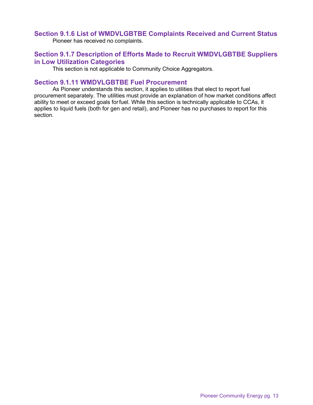#### <span id="page-12-0"></span>**Section 9.1.6 List of WMDVLGBTBE Complaints Received and Current Status**

Pioneer has received no complaints.

#### <span id="page-12-1"></span>**Section 9.1.7 Description of Efforts Made to Recruit WMDVLGBTBE Suppliers in Low Utilization Categories**

This section is not applicable to Community Choice Aggregators.

#### <span id="page-12-2"></span>**Section 9.1.11 WMDVLGBTBE Fuel Procurement**

As Pioneer understands this section, it applies to utilities that elect to report fuel procurement separately. The utilities must provide an explanation of how market conditions affect ability to meet or exceed goals forfuel. While this section is technically applicable to CCAs, it applies to liquid fuels (both for gen and retail), and Pioneer has no purchases to report for this section.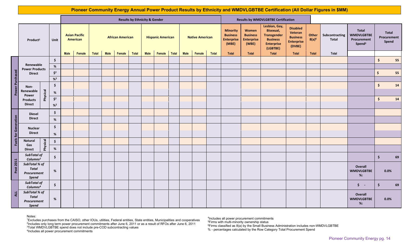|                             |                                                       |             |                      |                                                                    |        | Pioneer Community Energy Annual Power Product Results by Ethnicity and WMDVLGBTBE Certification (All Dollar Figures in \$MM) |      |        |              |                                                    |        |              |                                                                                                                                                                                                                                                                                                                           |                           |              |                                            |                                |                                                                 |                                      |       |       |                                              |                     |      |
|-----------------------------|-------------------------------------------------------|-------------|----------------------|--------------------------------------------------------------------|--------|------------------------------------------------------------------------------------------------------------------------------|------|--------|--------------|----------------------------------------------------|--------|--------------|---------------------------------------------------------------------------------------------------------------------------------------------------------------------------------------------------------------------------------------------------------------------------------------------------------------------------|---------------------------|--------------|--------------------------------------------|--------------------------------|-----------------------------------------------------------------|--------------------------------------|-------|-------|----------------------------------------------|---------------------|------|
|                             |                                                       |             |                      | <b>Results by Ethnicity &amp; Gender</b>                           |        |                                                                                                                              |      |        |              |                                                    |        |              |                                                                                                                                                                                                                                                                                                                           |                           |              | <b>Results by WMDVLGBTBE Certification</b> |                                |                                                                 |                                      |       |       |                                              |                     |      |
| Product <sup>1</sup>        |                                                       | <b>Unit</b> |                      | <b>Asian Pacific</b><br><b>African American</b><br><b>American</b> |        |                                                                                                                              |      |        |              | <b>Hispanic American</b><br><b>Native American</b> |        |              | Lesbian, Gay,<br><b>Disabled</b><br><b>Bisexual,</b><br><b>Minority</b><br>Women<br>Veteran<br><b>Business</b><br><b>Business</b><br><b>Transgender</b><br><b>Business</b><br><b>Enterprise</b><br><b>Enterprise</b><br><b>Business</b><br><b>Enterprise</b><br>(MBE)<br><b>Enterprise</b><br>(WBE)<br>(DVBE)<br>(LGBTBE) |                           |              | Other<br>$8(a)^6$                          | Subcontracting<br><b>Total</b> | Total<br><b>WMDVLGBTBE</b><br>Procurement<br>Spend <sup>3</sup> | <b>Total</b><br>Procurement<br>Spend |       |       |                                              |                     |      |
|                             |                                                       |             |                      | <b>Male</b>                                                        | Female | Total                                                                                                                        | Male | Female | <b>Total</b> | <b>Male</b>                                        | Female | <b>Total</b> | <b>Male</b>                                                                                                                                                                                                                                                                                                               | Female                    | <b>Total</b> | <b>Total</b>                               | <b>Total</b>                   | <b>Total</b>                                                    | Total                                | Total | Total |                                              |                     |      |
|                             |                                                       |             | $\frac{1}{2}$        |                                                                    |        |                                                                                                                              |      |        |              |                                                    |        |              |                                                                                                                                                                                                                                                                                                                           | $\ddot{\bm{\zeta}}$<br>55 |              |                                            |                                |                                                                 |                                      |       |       |                                              |                     |      |
|                             | Renewable<br><b>Power Products</b>                    | $\%$        |                      |                                                                    |        |                                                                                                                              |      |        |              |                                                    |        |              |                                                                                                                                                                                                                                                                                                                           |                           |              |                                            |                                |                                                                 |                                      |       |       |                                              |                     |      |
| <b>Power Purchased</b>      | <b>Direct</b>                                         |             | $\zeta^2$            |                                                                    |        |                                                                                                                              |      |        |              |                                                    |        |              |                                                                                                                                                                                                                                                                                                                           |                           |              |                                            |                                |                                                                 |                                      |       | \$    | 55                                           |                     |      |
|                             |                                                       |             | $%^{2}$              |                                                                    |        |                                                                                                                              |      |        |              |                                                    |        |              |                                                                                                                                                                                                                                                                                                                           |                           |              |                                            |                                |                                                                 |                                      |       |       |                                              |                     |      |
|                             | Non-                                                  |             | $\frac{1}{2}$        |                                                                    |        |                                                                                                                              |      |        |              |                                                    |        |              |                                                                                                                                                                                                                                                                                                                           |                           |              |                                            |                                |                                                                 |                                      |       |       |                                              | $\frac{1}{2}$       | 14   |
|                             | Renewable                                             | Physical    | $\%$                 |                                                                    |        |                                                                                                                              |      |        |              |                                                    |        |              |                                                                                                                                                                                                                                                                                                                           |                           |              |                                            |                                |                                                                 |                                      |       |       |                                              |                     |      |
|                             | Power<br><b>Products</b><br><b>Direct</b>             |             | $\mathsf{\dot{S}}^2$ |                                                                    |        |                                                                                                                              |      |        |              |                                                    |        |              |                                                                                                                                                                                                                                                                                                                           |                           |              |                                            |                                |                                                                 |                                      |       |       |                                              | $\frac{1}{2}$       | 14   |
|                             |                                                       |             | $%^{2}$              |                                                                    |        |                                                                                                                              |      |        |              |                                                    |        |              |                                                                                                                                                                                                                                                                                                                           |                           |              |                                            |                                |                                                                 |                                      |       |       |                                              |                     |      |
|                             | <b>Diesel</b><br><b>Direct</b>                        |             | $\frac{1}{2}$        |                                                                    |        |                                                                                                                              |      |        |              |                                                    |        |              |                                                                                                                                                                                                                                                                                                                           |                           |              |                                            |                                |                                                                 |                                      |       |       |                                              |                     |      |
|                             |                                                       |             | %                    |                                                                    |        |                                                                                                                              |      |        |              |                                                    |        |              |                                                                                                                                                                                                                                                                                                                           |                           |              |                                            |                                |                                                                 |                                      |       |       |                                              |                     |      |
|                             |                                                       |             |                      |                                                                    |        |                                                                                                                              |      |        |              |                                                    |        |              |                                                                                                                                                                                                                                                                                                                           |                           |              |                                            |                                |                                                                 |                                      |       |       |                                              |                     |      |
|                             | <b>Nuclear</b><br><b>Direct</b>                       |             | \$                   |                                                                    |        |                                                                                                                              |      |        |              |                                                    |        |              |                                                                                                                                                                                                                                                                                                                           |                           |              |                                            |                                |                                                                 |                                      |       |       |                                              |                     |      |
| <b>Fuels for Generation</b> |                                                       |             | $\%$                 |                                                                    |        |                                                                                                                              |      |        |              |                                                    |        |              |                                                                                                                                                                                                                                                                                                                           |                           |              |                                            |                                |                                                                 |                                      |       |       |                                              |                     |      |
|                             | <b>Natural</b><br>Gas                                 | Physical    | $\frac{1}{2}$        |                                                                    |        |                                                                                                                              |      |        |              |                                                    |        |              |                                                                                                                                                                                                                                                                                                                           |                           |              |                                            |                                |                                                                 |                                      |       |       |                                              |                     |      |
|                             | <b>Direct</b>                                         |             | $\%$                 |                                                                    |        |                                                                                                                              |      |        |              |                                                    |        |              |                                                                                                                                                                                                                                                                                                                           |                           |              |                                            |                                |                                                                 |                                      |       |       |                                              |                     |      |
|                             | SubTotal of<br>Columns <sup>2</sup>                   |             | $\ddot{\bm{\zeta}}$  |                                                                    |        |                                                                                                                              |      |        |              |                                                    |        |              |                                                                                                                                                                                                                                                                                                                           |                           |              |                                            |                                |                                                                 |                                      |       |       |                                              | $\ddot{\bm{\zeta}}$ | 69   |
| Post 2011                   | SubTotal % of<br><b>Total</b><br>Procurement<br>Spend |             | %                    |                                                                    |        |                                                                                                                              |      |        |              |                                                    |        |              |                                                                                                                                                                                                                                                                                                                           |                           |              |                                            |                                |                                                                 |                                      |       |       | <b>Overall</b><br><b>WMDVLGBTBE</b><br>$%$ : |                     | 0.0% |
| AL                          | SubTotal of<br>Columns <sup>4</sup>                   |             | \$                   |                                                                    |        |                                                                                                                              |      |        |              |                                                    |        |              |                                                                                                                                                                                                                                                                                                                           |                           |              |                                            |                                |                                                                 |                                      |       |       | $\frac{1}{2}$ -                              | \$                  | 69   |
|                             | SubTotal % of<br><b>Total</b><br>Procurement<br>Spend |             | %                    |                                                                    |        |                                                                                                                              |      |        |              |                                                    |        |              |                                                                                                                                                                                                                                                                                                                           |                           |              |                                            |                                |                                                                 |                                      |       |       | <b>Overall</b><br><b>WMDVLGBTBE</b><br>$%$ : |                     | 0.0% |

#### Notes:

<sup>1</sup>Excludes purchases from the CAISO, other IOUs, utilities, Federal entities, State entities, Municipalities and cooperatives<br><sup>2</sup>Includes only long term power procurement commitments after June 6, 2011 or as a result of R

4 Includes all power procurement commitments

<sup>5</sup>Firms with multi-minority ownership status<br><sup>6</sup>Firms classified as 8(a) by the Small Business Administration includes non-WMDVLGBTBE

% - percentages calculated by the Row Category Total Procurement Spend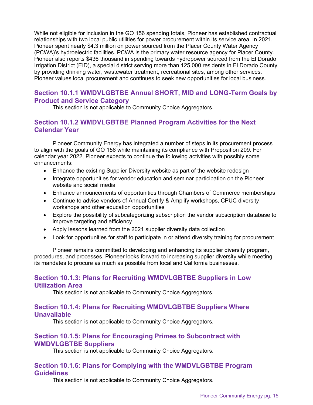While not eligible for inclusion in the GO 156 spending totals, Pioneer has established contractual relationships with two local public utilities for power procurement within its service area. In 2021, Pioneer spent nearly \$4.3 million on power sourced from the Placer County Water Agency (PCWA)'s hydroelectric facilities. PCWA is the primary water resource agency for Placer County. Pioneer also reports \$436 thousand in spending towards hydropower sourced from the El Dorado Irrigation District (EID), a special district serving more than 125,000 residents in El Dorado County by providing drinking water, wastewater treatment, recreational sites, among other services. Pioneer values local procurement and continues to seek new opportunities for local business.

#### <span id="page-14-0"></span>**Section 10.1.1 WMDVLGBTBE Annual SHORT, MID and LONG-Term Goals by Product and Service Category**

This section is not applicable to Community Choice Aggregators.

## <span id="page-14-1"></span>**Section 10.1.2 WMDVLGBTBE Planned Program Activities for the Next Calendar Year**

Pioneer Community Energy has integrated a number of steps in its procurement process to align with the goals of GO 156 while maintaining its compliance with Proposition 209. For calendar year 2022, Pioneer expects to continue the following activities with possibly some enhancements:

- Enhance the existing Supplier Diversity website as part of the website redesign
- Integrate opportunities for vendor education and seminar participation on the Pioneer website and social media
- Enhance announcements of opportunities through Chambers of Commerce memberships
- Continue to advise vendors of Annual Certify & Amplify workshops, CPUC diversity workshops and other education opportunities
- Explore the possibility of subcategorizing subscription the vendor subscription database to improve targeting and efficiency
- Apply lessons learned from the 2021 supplier diversity data collection
- Look for opportunities for staff to participate in or attend diversity training for procurement

Pioneer remains committed to developing and enhancing its supplier diversity program, procedures, and processes. Pioneer looks forward to increasing supplier diversity while meeting its mandates to procure as much as possible from local and California businesses.

#### <span id="page-14-2"></span>**Section 10.1.3: Plans for Recruiting WMDVLGBTBE Suppliers in Low Utilization Area**

This section is not applicable to Community Choice Aggregators.

#### <span id="page-14-3"></span>**Section 10.1.4: Plans for Recruiting WMDVLGBTBE Suppliers Where Unavailable**

This section is not applicable to Community Choice Aggregators.

#### <span id="page-14-4"></span>**Section 10.1.5: Plans for Encouraging Primes to Subcontract with WMDVLGBTBE Suppliers**

This section is not applicable to Community Choice Aggregators.

## <span id="page-14-5"></span>**Section 10.1.6: Plans for Complying with the WMDVLGBTBE Program Guidelines**

This section is not applicable to Community Choice Aggregators.